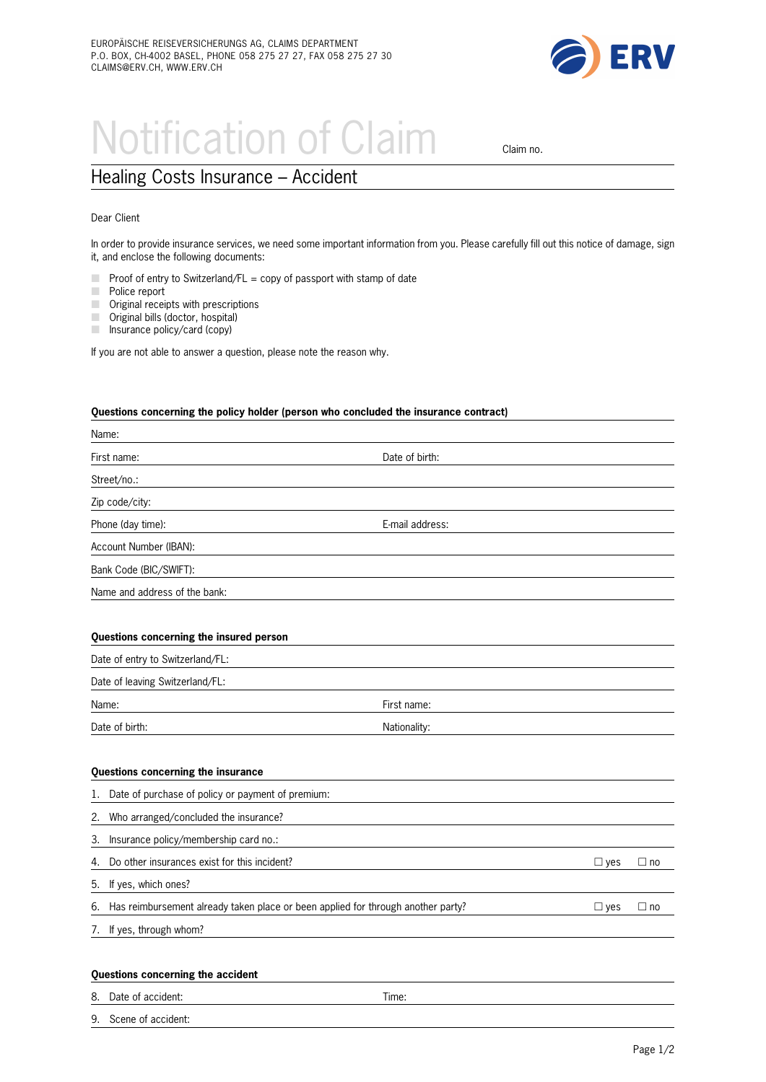

## Notification of Claim claim no.

## Healing Costs Insurance – Accident

## Dear Client

In order to provide insurance services, we need some important information from you. Please carefully fill out this notice of damage, sign it, and enclose the following documents:

- $\Box$  Proof of entry to Switzerland/FL = copy of passport with stamp of date
- $\Box$  Police report
- $\Box$  Original receipts with prescriptions
- $\mathcal{L}_{\mathcal{A}}$ Original bills (doctor, hospital)
- $\Box$  Insurance policy/card (copy)

If you are not able to answer a question, please note the reason why.

## **Questions concerning the policy holder (person who concluded the insurance contract)**

| Name:                                                                                  |                 |               |              |
|----------------------------------------------------------------------------------------|-----------------|---------------|--------------|
| First name:                                                                            | Date of birth:  |               |              |
| Street/no.:                                                                            |                 |               |              |
| Zip code/city:                                                                         |                 |               |              |
| Phone (day time):                                                                      | E-mail address: |               |              |
| Account Number (IBAN):                                                                 |                 |               |              |
| Bank Code (BIC/SWIFT):                                                                 |                 |               |              |
| Name and address of the bank:                                                          |                 |               |              |
|                                                                                        |                 |               |              |
| Questions concerning the insured person                                                |                 |               |              |
| Date of entry to Switzerland/FL:                                                       |                 |               |              |
| Date of leaving Switzerland/FL:                                                        |                 |               |              |
| Name:                                                                                  | First name:     |               |              |
| Date of birth:                                                                         | Nationality:    |               |              |
|                                                                                        |                 |               |              |
| Questions concerning the insurance                                                     |                 |               |              |
| Date of purchase of policy or payment of premium:<br>l.                                |                 |               |              |
| Who arranged/concluded the insurance?<br>2.                                            |                 |               |              |
| Insurance policy/membership card no.:<br>3.                                            |                 |               |              |
| Do other insurances exist for this incident?<br>4.                                     |                 | $\Box$ yes    | $\Box$ no    |
| If yes, which ones?<br>5.                                                              |                 |               |              |
| Has reimbursement already taken place or been applied for through another party?<br>6. |                 | $\square$ yes | $\square$ no |
| If yes, through whom?<br>7.                                                            |                 |               |              |
|                                                                                        |                 |               |              |
| Questions concerning the accident                                                      |                 |               |              |
| Date of accident:<br>8.                                                                | Time:           |               |              |
| Scene of accident:<br>9.                                                               |                 |               |              |